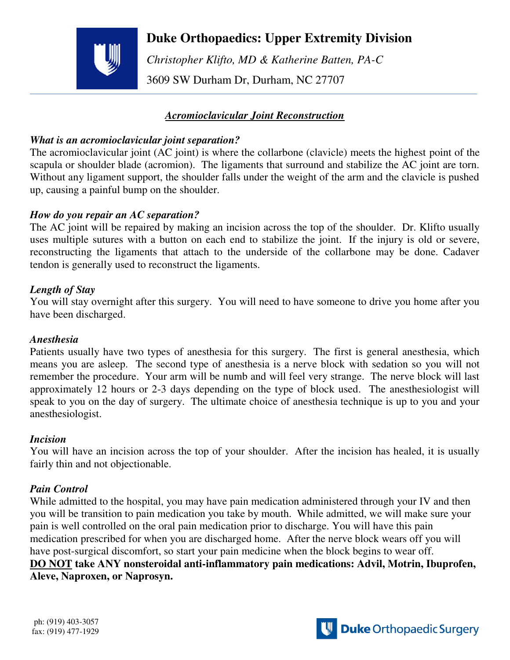# **Duke Orthopaedics: Upper Extremity Division**

 *Christopher Klifto, MD & Katherine Batten, PA-C*  3609 SW Durham Dr, Durham, NC 27707

# *Acromioclavicular Joint Reconstruction*

#### *What is an acromioclavicular joint separation?*

The acromioclavicular joint (AC joint) is where the collarbone (clavicle) meets the highest point of the scapula or shoulder blade (acromion). The ligaments that surround and stabilize the AC joint are torn. Without any ligament support, the shoulder falls under the weight of the arm and the clavicle is pushed up, causing a painful bump on the shoulder.

#### *How do you repair an AC separation?*

The AC joint will be repaired by making an incision across the top of the shoulder. Dr. Klifto usually uses multiple sutures with a button on each end to stabilize the joint. If the injury is old or severe, reconstructing the ligaments that attach to the underside of the collarbone may be done. Cadaver tendon is generally used to reconstruct the ligaments.

## *Length of Stay*

You will stay overnight after this surgery. You will need to have someone to drive you home after you have been discharged.

#### *Anesthesia*

Patients usually have two types of anesthesia for this surgery. The first is general anesthesia, which means you are asleep. The second type of anesthesia is a nerve block with sedation so you will not remember the procedure. Your arm will be numb and will feel very strange. The nerve block will last approximately 12 hours or 2-3 days depending on the type of block used. The anesthesiologist will speak to you on the day of surgery. The ultimate choice of anesthesia technique is up to you and your anesthesiologist.

#### *Incision*

You will have an incision across the top of your shoulder. After the incision has healed, it is usually fairly thin and not objectionable.

## *Pain Control*

While admitted to the hospital, you may have pain medication administered through your IV and then you will be transition to pain medication you take by mouth. While admitted, we will make sure your pain is well controlled on the oral pain medication prior to discharge. You will have this pain medication prescribed for when you are discharged home. After the nerve block wears off you will have post-surgical discomfort, so start your pain medicine when the block begins to wear off. **DO NOT take ANY nonsteroidal anti-inflammatory pain medications: Advil, Motrin, Ibuprofen, Aleve, Naproxen, or Naprosyn.**